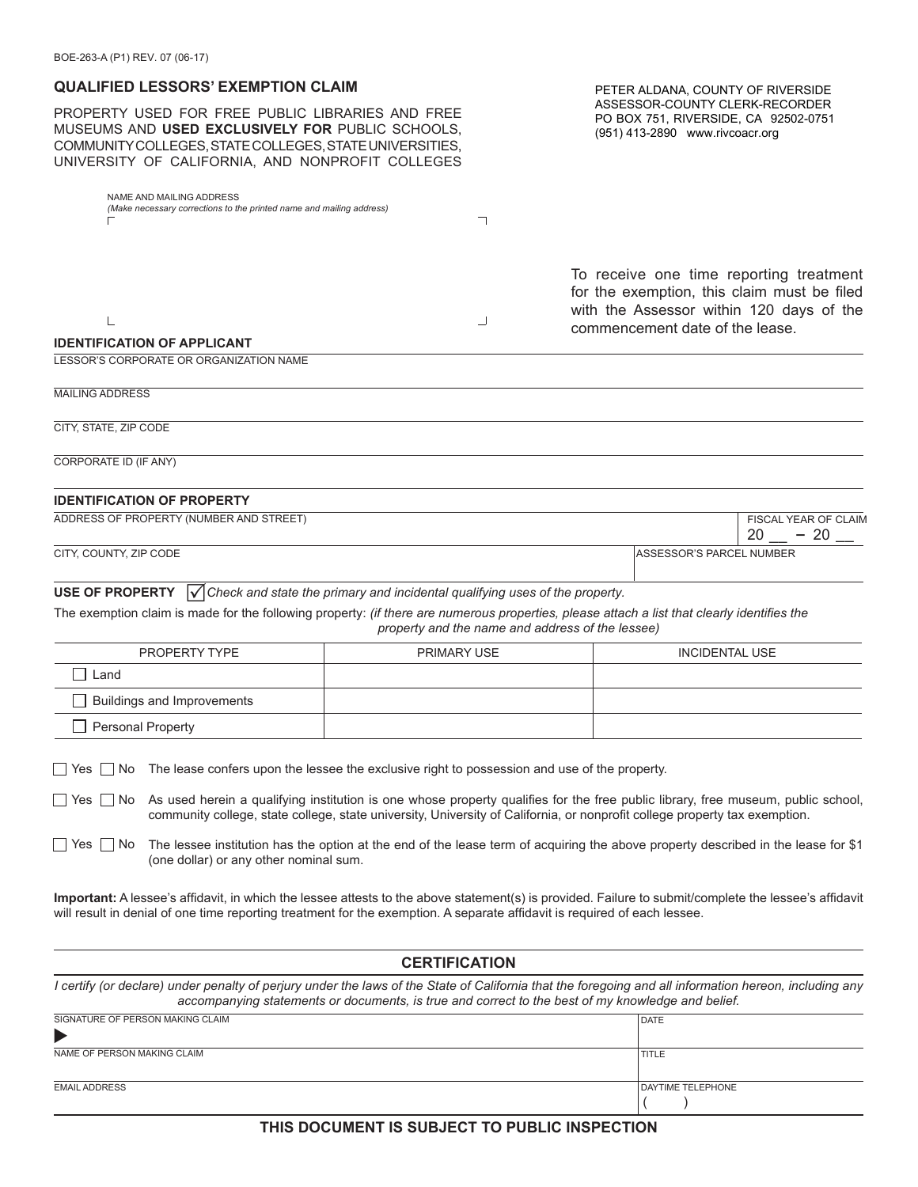| BUE-200-A (PI) REV. U/ (U0-1/)                                                                                                                                                                                                                                                     |                                                                                                                                                |                                                                                                                                                                       |  |  |
|------------------------------------------------------------------------------------------------------------------------------------------------------------------------------------------------------------------------------------------------------------------------------------|------------------------------------------------------------------------------------------------------------------------------------------------|-----------------------------------------------------------------------------------------------------------------------------------------------------------------------|--|--|
| <b>QUALIFIED LESSORS' EXEMPTION CLAIM</b>                                                                                                                                                                                                                                          | PETER ALDANA, COUNTY OF RIVERSIDE<br>ASSESSOR-COUNTY CLERK-RECORDER<br>PO BOX 751, RIVERSIDE, CA 92502-0751<br>(951) 413-2890 www.rivcoacr.org |                                                                                                                                                                       |  |  |
| PROPERTY USED FOR FREE PUBLIC LIBRARIES AND FREE<br>MUSEUMS AND USED EXCLUSIVELY FOR PUBLIC SCHOOLS,<br>COMMUNITY COLLEGES, STATE COLLEGES, STATE UNIVERSITIES,<br>UNIVERSITY OF CALIFORNIA, AND NONPROFIT COLLEGES                                                                |                                                                                                                                                |                                                                                                                                                                       |  |  |
| NAME AND MAILING ADDRESS<br>(Make necessary corrections to the printed name and mailing address)                                                                                                                                                                                   | ┐                                                                                                                                              |                                                                                                                                                                       |  |  |
| L<br><b>IDENTIFICATION OF APPLICANT</b>                                                                                                                                                                                                                                            | ┘                                                                                                                                              | To receive one time reporting treatment<br>for the exemption, this claim must be filed<br>with the Assessor within 120 days of the<br>commencement date of the lease. |  |  |
| LESSOR'S CORPORATE OR ORGANIZATION NAME                                                                                                                                                                                                                                            |                                                                                                                                                |                                                                                                                                                                       |  |  |
| <b>MAILING ADDRESS</b>                                                                                                                                                                                                                                                             |                                                                                                                                                |                                                                                                                                                                       |  |  |
| CITY, STATE, ZIP CODE                                                                                                                                                                                                                                                              |                                                                                                                                                |                                                                                                                                                                       |  |  |
| CORPORATE ID (IF ANY)                                                                                                                                                                                                                                                              |                                                                                                                                                |                                                                                                                                                                       |  |  |
| <b>IDENTIFICATION OF PROPERTY</b>                                                                                                                                                                                                                                                  |                                                                                                                                                |                                                                                                                                                                       |  |  |
| ADDRESS OF PROPERTY (NUMBER AND STREET)                                                                                                                                                                                                                                            |                                                                                                                                                | FISCAL YEAR OF CLAIM<br>$20 - 20$                                                                                                                                     |  |  |
| CITY, COUNTY, ZIP CODE                                                                                                                                                                                                                                                             |                                                                                                                                                | ASSESSOR'S PARCEL NUMBER                                                                                                                                              |  |  |
| <b>USE OF PROPERTY</b><br>$\sqrt{\phantom{a}}$ Check and state the primary and incidental qualifying uses of the property.<br>The exemption claim is made for the following property: (if there are numerous properties, please attach a list that clearly identifies the          | property and the name and address of the lessee)                                                                                               |                                                                                                                                                                       |  |  |
| PROPERTY TYPE<br><b>PRIMARY USE</b>                                                                                                                                                                                                                                                |                                                                                                                                                | <b>INCIDENTAL USE</b>                                                                                                                                                 |  |  |
| Land                                                                                                                                                                                                                                                                               |                                                                                                                                                |                                                                                                                                                                       |  |  |
| <b>Buildings and Improvements</b>                                                                                                                                                                                                                                                  |                                                                                                                                                |                                                                                                                                                                       |  |  |
| Personal Property                                                                                                                                                                                                                                                                  |                                                                                                                                                |                                                                                                                                                                       |  |  |
| The lease confers upon the lessee the exclusive right to possession and use of the property.<br>  No<br>Yes                                                                                                                                                                        |                                                                                                                                                |                                                                                                                                                                       |  |  |
| As used herein a qualifying institution is one whose property qualifies for the free public library, free museum, public school,<br>  No<br>  Yes  <br>community college, state college, state university, University of California, or nonprofit college property tax exemption.  |                                                                                                                                                |                                                                                                                                                                       |  |  |
| The lessee institution has the option at the end of the lease term of acquiring the above property described in the lease for \$1<br>  No<br>∣ Yes<br>(one dollar) or any other nominal sum.                                                                                       |                                                                                                                                                |                                                                                                                                                                       |  |  |
| Important: A lessee's affidavit, in which the lessee attests to the above statement(s) is provided. Failure to submit/complete the lessee's affidavit<br>will result in denial of one time reporting treatment for the exemption. A separate affidavit is required of each lessee. |                                                                                                                                                |                                                                                                                                                                       |  |  |
| <b>CERTIFICATION</b>                                                                                                                                                                                                                                                               |                                                                                                                                                |                                                                                                                                                                       |  |  |

*I certify (or declare) under penalty of perjury under the laws of the State of California that the foregoing and all information hereon, including any accompanying statements or documents, is true and correct to the best of my knowledge and belief.*

| SIGNATURE OF PERSON MAKING CLAIM | DATE              |
|----------------------------------|-------------------|
| ь                                |                   |
| NAME OF PERSON MAKING CLAIM      | <b>TITLE</b>      |
|                                  |                   |
| <b>EMAIL ADDRESS</b>             | DAYTIME TELEPHONE |
|                                  |                   |

**THIS DOCUMENT IS SUBJECT TO PUBLIC INSPECTION**